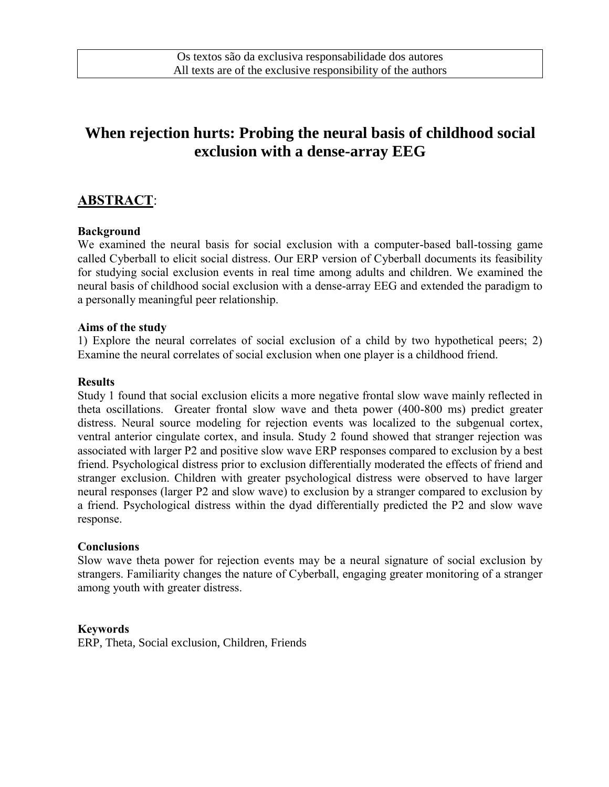# **When rejection hurts: Probing the neural basis of childhood social exclusion with a dense-array EEG**

## **ABSTRACT**:

### **Background**

We examined the neural basis for social exclusion with a computer-based ball-tossing game called Cyberball to elicit social distress. Our ERP version of Cyberball documents its feasibility for studying social exclusion events in real time among adults and children. We examined the neural basis of childhood social exclusion with a dense-array EEG and extended the paradigm to a personally meaningful peer relationship.

#### **Aims of the study**

1) Explore the neural correlates of social exclusion of a child by two hypothetical peers; 2) Examine the neural correlates of social exclusion when one player is a childhood friend.

#### **Results**

Study 1 found that social exclusion elicits a more negative frontal slow wave mainly reflected in theta oscillations. Greater frontal slow wave and theta power (400-800 ms) predict greater distress. Neural source modeling for rejection events was localized to the subgenual cortex, ventral anterior cingulate cortex, and insula. Study 2 found showed that stranger rejection was associated with larger P2 and positive slow wave ERP responses compared to exclusion by a best friend. Psychological distress prior to exclusion differentially moderated the effects of friend and stranger exclusion. Children with greater psychological distress were observed to have larger neural responses (larger P2 and slow wave) to exclusion by a stranger compared to exclusion by a friend. Psychological distress within the dyad differentially predicted the P2 and slow wave response.

#### **Conclusions**

Slow wave theta power for rejection events may be a neural signature of social exclusion by strangers. Familiarity changes the nature of Cyberball, engaging greater monitoring of a stranger among youth with greater distress.

#### **Keywords**

ERP, Theta, Social exclusion, Children, Friends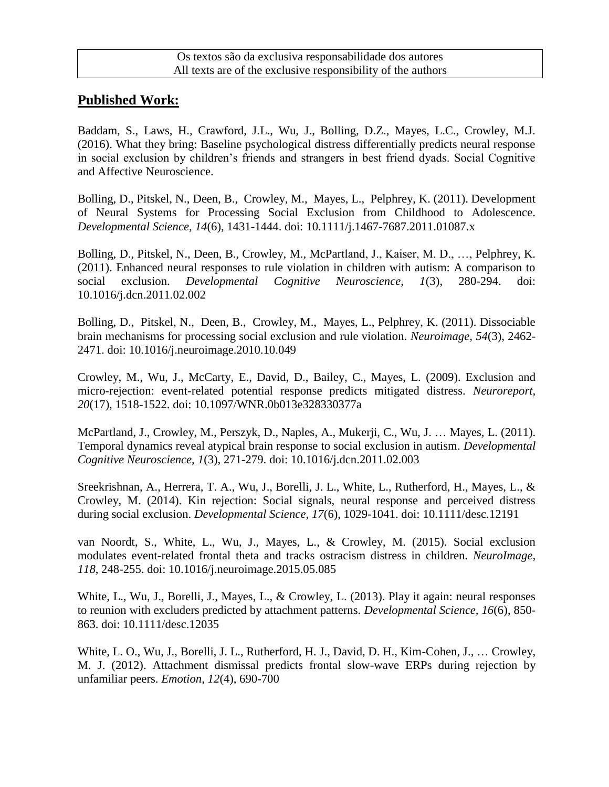### **Published Work:**

Baddam, S., Laws, H., Crawford, J.L., Wu, J., Bolling, D.Z., Mayes, L.C., Crowley, M.J. (2016). What they bring: Baseline psychological distress differentially predicts neural response in social exclusion by children's friends and strangers in best friend dyads. Social Cognitive and Affective Neuroscience.

Bolling, D., Pitskel, N., Deen, B., Crowley, M., Mayes, L., Pelphrey, K. (2011). Development of Neural Systems for Processing Social Exclusion from Childhood to Adolescence. *Developmental Science, 14*(6), 1431-1444. doi: 10.1111/j.1467-7687.2011.01087.x

Bolling, D., Pitskel, N., Deen, B., Crowley, M., McPartland, J., Kaiser, M. D., …, Pelphrey, K. (2011). Enhanced neural responses to rule violation in children with autism: A comparison to social exclusion. *Developmental Cognitive Neuroscience, 1*(3), 280-294. doi: 10.1016/j.dcn.2011.02.002

Bolling, D., Pitskel, N., Deen, B., Crowley, M., Mayes, L., Pelphrey, K. (2011). Dissociable brain mechanisms for processing social exclusion and rule violation. *Neuroimage, 54*(3), 2462- 2471. doi: 10.1016/j.neuroimage.2010.10.049

Crowley, M., Wu, J., McCarty, E., David, D., Bailey, C., Mayes, L. (2009). Exclusion and micro-rejection: event-related potential response predicts mitigated distress. *Neuroreport, 20*(17), 1518-1522. doi: 10.1097/WNR.0b013e328330377a

McPartland, J., Crowley, M., Perszyk, D., Naples, A., Mukerji, C., Wu, J. … Mayes, L. (2011). Temporal dynamics reveal atypical brain response to social exclusion in autism. *Developmental Cognitive Neuroscience, 1*(3), 271-279. doi: 10.1016/j.dcn.2011.02.003

Sreekrishnan, A., Herrera, T. A., Wu, J., Borelli, J. L., White, L., Rutherford, H., Mayes, L., & Crowley, M. (2014). Kin rejection: Social signals, neural response and perceived distress during social exclusion. *Developmental Science, 17*(6), 1029-1041. doi: 10.1111/desc.12191

van Noordt, S., White, L., Wu, J., Mayes, L., & Crowley, M. (2015). Social exclusion modulates event-related frontal theta and tracks ostracism distress in children. *NeuroImage, 118*, 248-255. doi: 10.1016/j.neuroimage.2015.05.085

White, L., Wu, J., Borelli, J., Mayes, L., & Crowley, L. (2013). Play it again: neural responses to reunion with excluders predicted by attachment patterns. *Developmental Science, 16*(6), 850- 863. doi: 10.1111/desc.12035

White, L. O., Wu, J., Borelli, J. L., Rutherford, H. J., David, D. H., Kim-Cohen, J., … Crowley, M. J. (2012). Attachment dismissal predicts frontal slow-wave ERPs during rejection by unfamiliar peers. *Emotion, 12*(4), 690-700